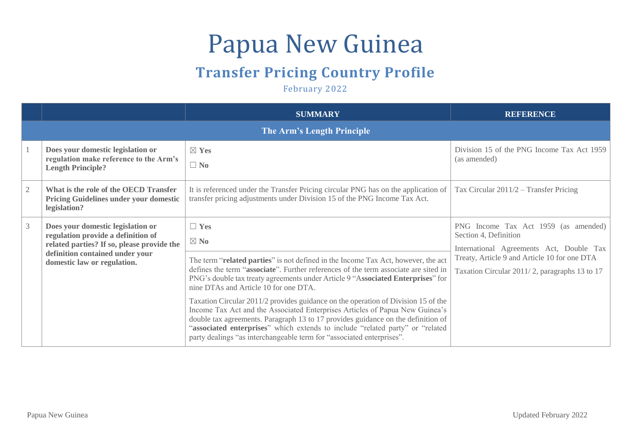## Papua New Guinea

## **Transfer Pricing Country Profile**

February 2022

|              |                                                                                                                                                                                         | <b>SUMMARY</b>                                                                                                                                                                                                                                                                                                                                                                                                                                                                                                                                                                                                                                                                                                                                          | <b>REFERENCE</b>                                                                                                                                                                                           |  |  |  |  |  |
|--------------|-----------------------------------------------------------------------------------------------------------------------------------------------------------------------------------------|---------------------------------------------------------------------------------------------------------------------------------------------------------------------------------------------------------------------------------------------------------------------------------------------------------------------------------------------------------------------------------------------------------------------------------------------------------------------------------------------------------------------------------------------------------------------------------------------------------------------------------------------------------------------------------------------------------------------------------------------------------|------------------------------------------------------------------------------------------------------------------------------------------------------------------------------------------------------------|--|--|--|--|--|
|              | The Arm's Length Principle                                                                                                                                                              |                                                                                                                                                                                                                                                                                                                                                                                                                                                                                                                                                                                                                                                                                                                                                         |                                                                                                                                                                                                            |  |  |  |  |  |
|              | Does your domestic legislation or<br>regulation make reference to the Arm's<br><b>Length Principle?</b>                                                                                 | $\boxtimes$ Yes<br>$\Box$ No                                                                                                                                                                                                                                                                                                                                                                                                                                                                                                                                                                                                                                                                                                                            | Division 15 of the PNG Income Tax Act 1959<br>(as amended)                                                                                                                                                 |  |  |  |  |  |
| $\mathbf{2}$ | What is the role of the OECD Transfer<br><b>Pricing Guidelines under your domestic</b><br>legislation?                                                                                  | It is referenced under the Transfer Pricing circular PNG has on the application of<br>transfer pricing adjustments under Division 15 of the PNG Income Tax Act.                                                                                                                                                                                                                                                                                                                                                                                                                                                                                                                                                                                         | Tax Circular $2011/2$ – Transfer Pricing                                                                                                                                                                   |  |  |  |  |  |
| 3            | Does your domestic legislation or<br>regulation provide a definition of<br>related parties? If so, please provide the<br>definition contained under your<br>domestic law or regulation. | $\Box$ Yes<br>$\boxtimes$ No<br>The term "related parties" is not defined in the Income Tax Act, however, the act<br>defines the term "associate". Further references of the term associate are sited in<br>PNG's double tax treaty agreements under Article 9 "Associated Enterprises" for<br>nine DTAs and Article 10 for one DTA.<br>Taxation Circular 2011/2 provides guidance on the operation of Division 15 of the<br>Income Tax Act and the Associated Enterprises Articles of Papua New Guinea's<br>double tax agreements. Paragraph 13 to 17 provides guidance on the definition of<br>"associated enterprises" which extends to include "related party" or "related<br>party dealings "as interchangeable term for "associated enterprises". | PNG Income Tax Act 1959 (as amended)<br>Section 4, Definition<br>International Agreements Act, Double Tax<br>Treaty, Article 9 and Article 10 for one DTA<br>Taxation Circular 2011/2, paragraphs 13 to 17 |  |  |  |  |  |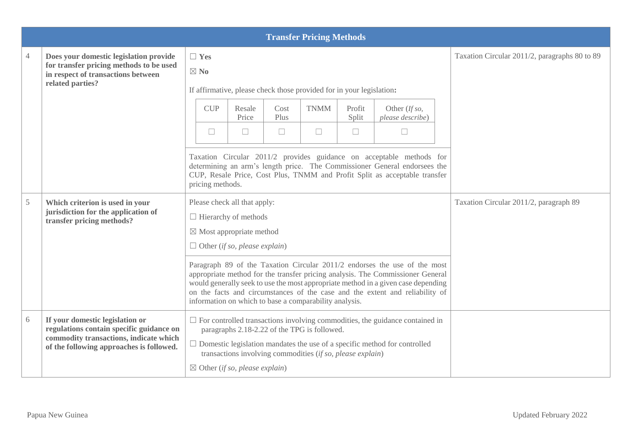| <b>Transfer Pricing Methods</b> |                                                                                                                                                                   |                                                                                                                                                                                                                                                                                                                                                                                            |                              |                                           |              |                                                                      |                 |                                                                                                                                                                                                                                 |  |                                               |
|---------------------------------|-------------------------------------------------------------------------------------------------------------------------------------------------------------------|--------------------------------------------------------------------------------------------------------------------------------------------------------------------------------------------------------------------------------------------------------------------------------------------------------------------------------------------------------------------------------------------|------------------------------|-------------------------------------------|--------------|----------------------------------------------------------------------|-----------------|---------------------------------------------------------------------------------------------------------------------------------------------------------------------------------------------------------------------------------|--|-----------------------------------------------|
| 4                               | Does your domestic legislation provide<br>for transfer pricing methods to be used<br>in respect of transactions between                                           |                                                                                                                                                                                                                                                                                                                                                                                            | $\Box$ Yes<br>$\boxtimes$ No |                                           |              |                                                                      |                 |                                                                                                                                                                                                                                 |  | Taxation Circular 2011/2, paragraphs 80 to 89 |
|                                 | related parties?                                                                                                                                                  |                                                                                                                                                                                                                                                                                                                                                                                            |                              |                                           |              | If affirmative, please check those provided for in your legislation: |                 |                                                                                                                                                                                                                                 |  |                                               |
|                                 |                                                                                                                                                                   |                                                                                                                                                                                                                                                                                                                                                                                            | <b>CUP</b>                   | Resale<br>Price                           | Cost<br>Plus | <b>TNMM</b>                                                          | Profit<br>Split | Other (If so,<br>please describe)                                                                                                                                                                                               |  |                                               |
|                                 |                                                                                                                                                                   |                                                                                                                                                                                                                                                                                                                                                                                            | $\Box$                       | $\Box$                                    | $\Box$       | $\Box$                                                               | $\Box$          | $\Box$                                                                                                                                                                                                                          |  |                                               |
|                                 |                                                                                                                                                                   |                                                                                                                                                                                                                                                                                                                                                                                            | pricing methods.             |                                           |              |                                                                      |                 | Taxation Circular 2011/2 provides guidance on acceptable methods for<br>determining an arm's length price. The Commissioner General endorsees the<br>CUP, Resale Price, Cost Plus, TNMM and Profit Split as acceptable transfer |  |                                               |
| $\mathfrak s$                   | Which criterion is used in your<br>jurisdiction for the application of                                                                                            | Please check all that apply:<br>$\Box$ Hierarchy of methods                                                                                                                                                                                                                                                                                                                                |                              |                                           |              |                                                                      |                 |                                                                                                                                                                                                                                 |  | Taxation Circular 2011/2, paragraph 89        |
|                                 | transfer pricing methods?                                                                                                                                         | $\boxtimes$ Most appropriate method                                                                                                                                                                                                                                                                                                                                                        |                              |                                           |              |                                                                      |                 |                                                                                                                                                                                                                                 |  |                                               |
|                                 |                                                                                                                                                                   | $\Box$ Other (if so, please explain)                                                                                                                                                                                                                                                                                                                                                       |                              |                                           |              |                                                                      |                 |                                                                                                                                                                                                                                 |  |                                               |
|                                 |                                                                                                                                                                   | Paragraph 89 of the Taxation Circular 2011/2 endorses the use of the most<br>appropriate method for the transfer pricing analysis. The Commissioner General<br>would generally seek to use the most appropriate method in a given case depending<br>on the facts and circumstances of the case and the extent and reliability of<br>information on which to base a comparability analysis. |                              |                                           |              |                                                                      |                 |                                                                                                                                                                                                                                 |  |                                               |
| 6                               | If your domestic legislation or<br>regulations contain specific guidance on<br>commodity transactions, indicate which<br>of the following approaches is followed. |                                                                                                                                                                                                                                                                                                                                                                                            |                              |                                           |              | paragraphs 2.18-2.22 of the TPG is followed.                         |                 | $\Box$ For controlled transactions involving commodities, the guidance contained in                                                                                                                                             |  |                                               |
|                                 |                                                                                                                                                                   |                                                                                                                                                                                                                                                                                                                                                                                            |                              |                                           |              | transactions involving commodities (if so, please explain)           |                 | $\Box$ Domestic legislation mandates the use of a specific method for controlled                                                                                                                                                |  |                                               |
|                                 |                                                                                                                                                                   |                                                                                                                                                                                                                                                                                                                                                                                            |                              | $\boxtimes$ Other (if so, please explain) |              |                                                                      |                 |                                                                                                                                                                                                                                 |  |                                               |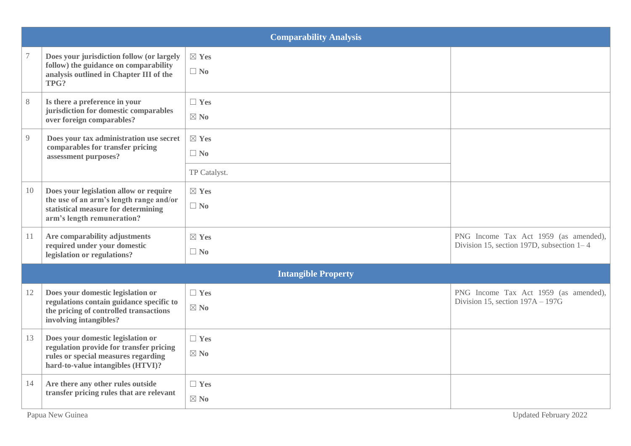|        | <b>Comparability Analysis</b>                                                                                                                            |                                              |                                                                                      |  |  |  |
|--------|----------------------------------------------------------------------------------------------------------------------------------------------------------|----------------------------------------------|--------------------------------------------------------------------------------------|--|--|--|
| $\tau$ | Does your jurisdiction follow (or largely<br>follow) the guidance on comparability<br>analysis outlined in Chapter III of the<br>TPG?                    | $\boxtimes$ Yes<br>$\Box$ No                 |                                                                                      |  |  |  |
| 8      | Is there a preference in your<br>jurisdiction for domestic comparables<br>over foreign comparables?                                                      | $\Box$ Yes<br>$\boxtimes$ No                 |                                                                                      |  |  |  |
| 9      | Does your tax administration use secret<br>comparables for transfer pricing<br>assessment purposes?                                                      | $\boxtimes$ Yes<br>$\Box$ No<br>TP Catalyst. |                                                                                      |  |  |  |
| 10     | Does your legislation allow or require<br>the use of an arm's length range and/or<br>statistical measure for determining<br>arm's length remuneration?   | $\boxtimes$ Yes<br>$\Box$ No                 |                                                                                      |  |  |  |
| 11     | Are comparability adjustments<br>required under your domestic<br>legislation or regulations?                                                             | $\boxtimes$ Yes<br>$\Box$ No                 | PNG Income Tax Act 1959 (as amended),<br>Division 15, section 197D, subsection $1-4$ |  |  |  |
|        | <b>Intangible Property</b>                                                                                                                               |                                              |                                                                                      |  |  |  |
| 12     | Does your domestic legislation or<br>regulations contain guidance specific to<br>the pricing of controlled transactions<br>involving intangibles?        | $\Box$ Yes<br>$\boxtimes$ No                 | PNG Income Tax Act 1959 (as amended),<br>Division 15, section $197A - 197G$          |  |  |  |
| 13     | Does your domestic legislation or<br>regulation provide for transfer pricing<br>rules or special measures regarding<br>hard-to-value intangibles (HTVI)? | $\Box$ Yes<br>$\boxtimes$ No                 |                                                                                      |  |  |  |
| 14     | Are there any other rules outside<br>transfer pricing rules that are relevant                                                                            | $\Box$ Yes<br>$\boxtimes$ No                 |                                                                                      |  |  |  |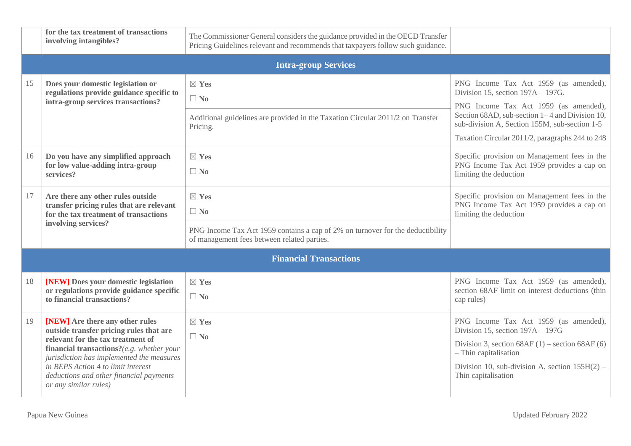|    | for the tax treatment of transactions<br>involving intangibles?                                                                                                                                                                                                                                                     | The Commissioner General considers the guidance provided in the OECD Transfer<br>Pricing Guidelines relevant and recommends that taxpayers follow such guidance. |                                                                                                                                                                                                                                                                              |  |  |  |
|----|---------------------------------------------------------------------------------------------------------------------------------------------------------------------------------------------------------------------------------------------------------------------------------------------------------------------|------------------------------------------------------------------------------------------------------------------------------------------------------------------|------------------------------------------------------------------------------------------------------------------------------------------------------------------------------------------------------------------------------------------------------------------------------|--|--|--|
|    |                                                                                                                                                                                                                                                                                                                     |                                                                                                                                                                  |                                                                                                                                                                                                                                                                              |  |  |  |
| 15 | Does your domestic legislation or<br>regulations provide guidance specific to<br>intra-group services transactions?                                                                                                                                                                                                 | $\boxtimes$ Yes<br>$\Box$ No<br>Additional guidelines are provided in the Taxation Circular 2011/2 on Transfer<br>Pricing.                                       | PNG Income Tax Act 1959 (as amended),<br>Division 15, section $197A - 197G$ .<br>PNG Income Tax Act 1959 (as amended),<br>Section 68AD, sub-section 1–4 and Division 10,<br>sub-division A, Section 155M, sub-section 1-5<br>Taxation Circular 2011/2, paragraphs 244 to 248 |  |  |  |
| 16 | Do you have any simplified approach<br>for low value-adding intra-group<br>services?                                                                                                                                                                                                                                | $\boxtimes$ Yes<br>$\Box$ No                                                                                                                                     | Specific provision on Management fees in the<br>PNG Income Tax Act 1959 provides a cap on<br>limiting the deduction                                                                                                                                                          |  |  |  |
| 17 | Are there any other rules outside<br>transfer pricing rules that are relevant<br>for the tax treatment of transactions<br>involving services?                                                                                                                                                                       | $\boxtimes$ Yes<br>$\Box$ No<br>PNG Income Tax Act 1959 contains a cap of 2% on turnover for the deductibility<br>of management fees between related parties.    | Specific provision on Management fees in the<br>PNG Income Tax Act 1959 provides a cap on<br>limiting the deduction                                                                                                                                                          |  |  |  |
|    | <b>Financial Transactions</b>                                                                                                                                                                                                                                                                                       |                                                                                                                                                                  |                                                                                                                                                                                                                                                                              |  |  |  |
| 18 | [NEW] Does your domestic legislation<br>or regulations provide guidance specific<br>to financial transactions?                                                                                                                                                                                                      | $\boxtimes$ Yes<br>$\Box$ No                                                                                                                                     | PNG Income Tax Act 1959 (as amended),<br>section 68AF limit on interest deductions (thin<br>cap rules)                                                                                                                                                                       |  |  |  |
| 19 | [NEW] Are there any other rules<br>outside transfer pricing rules that are<br>relevant for the tax treatment of<br>financial transactions?(e.g. whether your<br>jurisdiction has implemented the measures<br>in BEPS Action 4 to limit interest<br>deductions and other financial payments<br>or any similar rules) | $\boxtimes$ Yes<br>$\Box$ No                                                                                                                                     | PNG Income Tax Act 1959 (as amended),<br>Division 15, section $197A - 197G$<br>Division 3, section $68AF(1)$ – section $68AF(6)$<br>- Thin capitalisation<br>Division 10, sub-division A, section $155H(2)$ –<br>Thin capitalisation                                         |  |  |  |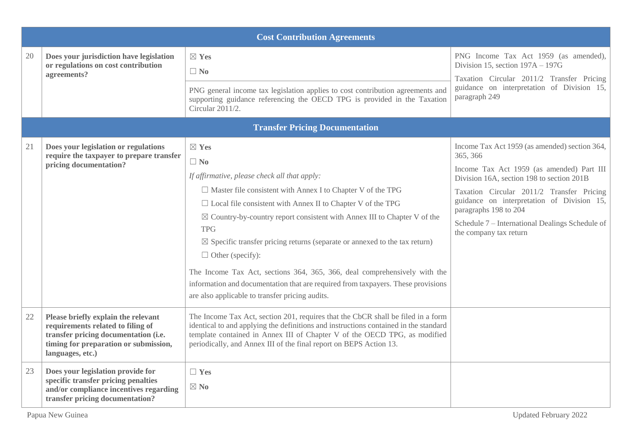|    | <b>Cost Contribution Agreements</b>                                                                                                                                           |                                                                                                                                                                                                                                                                                                                                                                                                                                                                                                                                                                                                                                                                       |                                                                                                                                                                                                                                                                                                                                                      |  |  |  |  |
|----|-------------------------------------------------------------------------------------------------------------------------------------------------------------------------------|-----------------------------------------------------------------------------------------------------------------------------------------------------------------------------------------------------------------------------------------------------------------------------------------------------------------------------------------------------------------------------------------------------------------------------------------------------------------------------------------------------------------------------------------------------------------------------------------------------------------------------------------------------------------------|------------------------------------------------------------------------------------------------------------------------------------------------------------------------------------------------------------------------------------------------------------------------------------------------------------------------------------------------------|--|--|--|--|
| 20 | Does your jurisdiction have legislation<br>or regulations on cost contribution<br>agreements?                                                                                 | $\boxtimes$ Yes<br>$\Box$ No<br>PNG general income tax legislation applies to cost contribution agreements and<br>supporting guidance referencing the OECD TPG is provided in the Taxation<br>Circular 2011/2.                                                                                                                                                                                                                                                                                                                                                                                                                                                        | PNG Income Tax Act 1959 (as amended),<br>Division 15, section 197A - 197G<br>Taxation Circular 2011/2 Transfer Pricing<br>guidance on interpretation of Division 15,<br>paragraph 249                                                                                                                                                                |  |  |  |  |
|    |                                                                                                                                                                               | <b>Transfer Pricing Documentation</b>                                                                                                                                                                                                                                                                                                                                                                                                                                                                                                                                                                                                                                 |                                                                                                                                                                                                                                                                                                                                                      |  |  |  |  |
| 21 | Does your legislation or regulations<br>require the taxpayer to prepare transfer<br>pricing documentation?                                                                    | $\boxtimes$ Yes<br>$\Box$ No<br>If affirmative, please check all that apply:<br>$\Box$ Master file consistent with Annex I to Chapter V of the TPG<br>$\Box$ Local file consistent with Annex II to Chapter V of the TPG<br>$\boxtimes$ Country-by-country report consistent with Annex III to Chapter V of the<br><b>TPG</b><br>$\boxtimes$ Specific transfer pricing returns (separate or annexed to the tax return)<br>$\Box$ Other (specify):<br>The Income Tax Act, sections 364, 365, 366, deal comprehensively with the<br>information and documentation that are required from taxpayers. These provisions<br>are also applicable to transfer pricing audits. | Income Tax Act 1959 (as amended) section 364,<br>365, 366<br>Income Tax Act 1959 (as amended) Part III<br>Division 16A, section 198 to section 201B<br>Taxation Circular 2011/2 Transfer Pricing<br>guidance on interpretation of Division 15,<br>paragraphs 198 to 204<br>Schedule 7 - International Dealings Schedule of<br>the company tax return |  |  |  |  |
| 22 | Please briefly explain the relevant<br>requirements related to filing of<br>transfer pricing documentation (i.e.<br>timing for preparation or submission,<br>languages, etc.) | The Income Tax Act, section 201, requires that the CbCR shall be filed in a form<br>identical to and applying the definitions and instructions contained in the standard<br>template contained in Annex III of Chapter V of the OECD TPG, as modified<br>periodically, and Annex III of the final report on BEPS Action 13.                                                                                                                                                                                                                                                                                                                                           |                                                                                                                                                                                                                                                                                                                                                      |  |  |  |  |
| 23 | Does your legislation provide for<br>specific transfer pricing penalties<br>and/or compliance incentives regarding<br>transfer pricing documentation?                         | $\Box$ Yes<br>$\boxtimes$ No                                                                                                                                                                                                                                                                                                                                                                                                                                                                                                                                                                                                                                          |                                                                                                                                                                                                                                                                                                                                                      |  |  |  |  |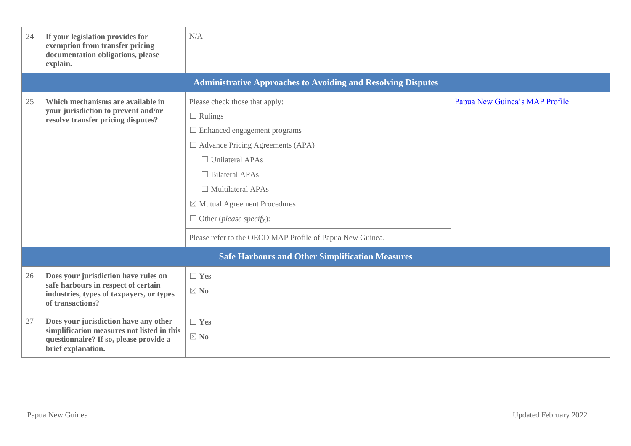| 24 | If your legislation provides for<br>exemption from transfer pricing<br>documentation obligations, please<br>explain.                                | N/A                                                                                                                                                                                                                                                                                            |                                |  |  |  |  |
|----|-----------------------------------------------------------------------------------------------------------------------------------------------------|------------------------------------------------------------------------------------------------------------------------------------------------------------------------------------------------------------------------------------------------------------------------------------------------|--------------------------------|--|--|--|--|
|    |                                                                                                                                                     | <b>Administrative Approaches to Avoiding and Resolving Disputes</b>                                                                                                                                                                                                                            |                                |  |  |  |  |
| 25 | Which mechanisms are available in<br>your jurisdiction to prevent and/or<br>resolve transfer pricing disputes?                                      | Please check those that apply:<br>$\Box$ Rulings<br>$\Box$ Enhanced engagement programs<br>$\Box$ Advance Pricing Agreements (APA)<br>$\Box$ Unilateral APAs<br>$\Box$ Bilateral APAs<br>$\Box$ Multilateral APAs<br>$\boxtimes$ Mutual Agreement Procedures<br>$\Box$ Other (please specify): | Papua New Guinea's MAP Profile |  |  |  |  |
|    |                                                                                                                                                     | Please refer to the OECD MAP Profile of Papua New Guinea.                                                                                                                                                                                                                                      |                                |  |  |  |  |
|    | <b>Safe Harbours and Other Simplification Measures</b>                                                                                              |                                                                                                                                                                                                                                                                                                |                                |  |  |  |  |
| 26 | Does your jurisdiction have rules on<br>safe harbours in respect of certain<br>industries, types of taxpayers, or types<br>of transactions?         | $\Box$ Yes<br>$\boxtimes$ No                                                                                                                                                                                                                                                                   |                                |  |  |  |  |
| 27 | Does your jurisdiction have any other<br>simplification measures not listed in this<br>questionnaire? If so, please provide a<br>brief explanation. | $\Box$ Yes<br>$\boxtimes$ No                                                                                                                                                                                                                                                                   |                                |  |  |  |  |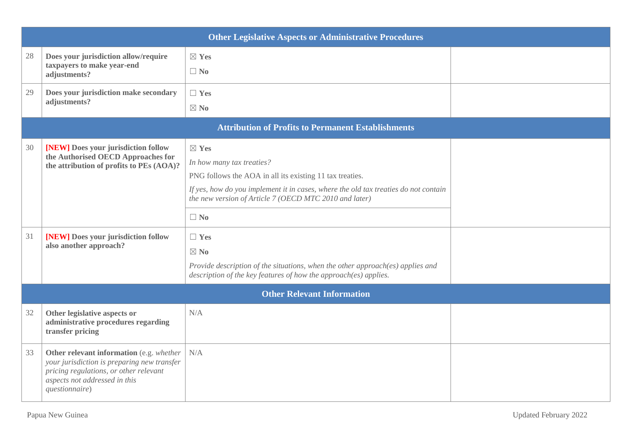|          | <b>Other Legislative Aspects or Administrative Procedures</b>                                                                                                                          |                                                                                                                                                                                                                                                                                                                                                                                                                                                              |  |  |  |  |  |
|----------|----------------------------------------------------------------------------------------------------------------------------------------------------------------------------------------|--------------------------------------------------------------------------------------------------------------------------------------------------------------------------------------------------------------------------------------------------------------------------------------------------------------------------------------------------------------------------------------------------------------------------------------------------------------|--|--|--|--|--|
| 28       | Does your jurisdiction allow/require<br>taxpayers to make year-end<br>adjustments?                                                                                                     | $\boxtimes$ Yes<br>$\Box$ No                                                                                                                                                                                                                                                                                                                                                                                                                                 |  |  |  |  |  |
| 29       | Does your jurisdiction make secondary<br>adjustments?                                                                                                                                  | $\Box$ Yes<br>$\boxtimes$ No                                                                                                                                                                                                                                                                                                                                                                                                                                 |  |  |  |  |  |
|          |                                                                                                                                                                                        | <b>Attribution of Profits to Permanent Establishments</b>                                                                                                                                                                                                                                                                                                                                                                                                    |  |  |  |  |  |
| 30<br>31 | [NEW] Does your jurisdiction follow<br>the Authorised OECD Approaches for<br>the attribution of profits to PEs (AOA)?<br>[NEW] Does your jurisdiction follow<br>also another approach? | $\boxtimes$ Yes<br>In how many tax treaties?<br>PNG follows the AOA in all its existing 11 tax treaties.<br>If yes, how do you implement it in cases, where the old tax treaties do not contain<br>the new version of Article 7 (OECD MTC 2010 and later)<br>$\Box$ No<br>$\Box$ Yes<br>$\boxtimes$ No<br>Provide description of the situations, when the other approach(es) applies and<br>description of the key features of how the approach(es) applies. |  |  |  |  |  |
|          | <b>Other Relevant Information</b>                                                                                                                                                      |                                                                                                                                                                                                                                                                                                                                                                                                                                                              |  |  |  |  |  |
| 32       | Other legislative aspects or<br>administrative procedures regarding<br>transfer pricing                                                                                                | N/A                                                                                                                                                                                                                                                                                                                                                                                                                                                          |  |  |  |  |  |
| 33       | Other relevant information (e.g. whether<br>your jurisdiction is preparing new transfer<br>pricing regulations, or other relevant<br>aspects not addressed in this<br>questionnaire)   | N/A                                                                                                                                                                                                                                                                                                                                                                                                                                                          |  |  |  |  |  |